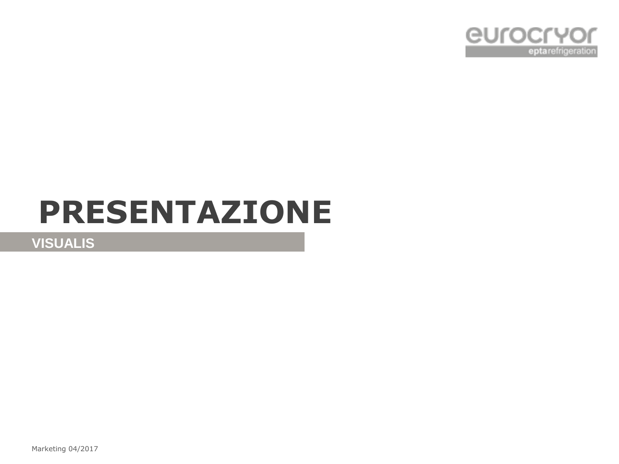

# **PRESENTAZIONE**

**VISUALIS**

Marketing 04/2017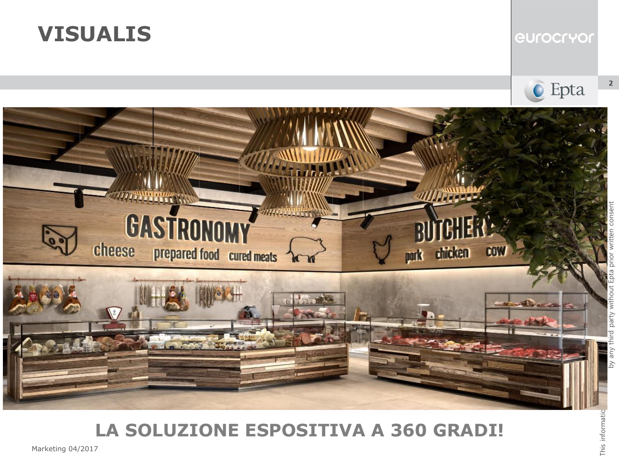

#### eurocryor





## **LA SOLUZIONE ESPOSITIVA A 360 GRADI!**

Marketing 04/2017

 $\overline{2}$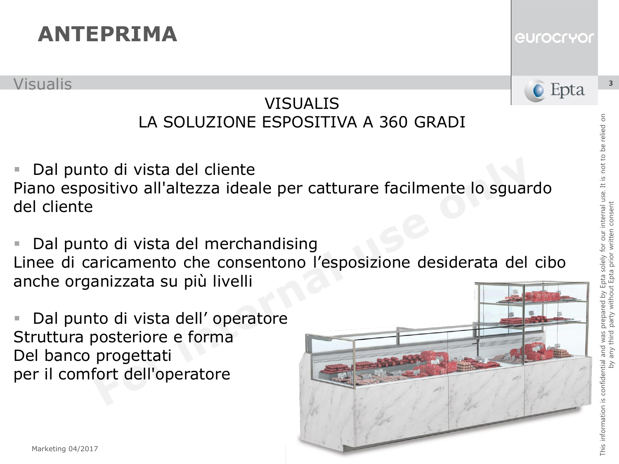Visualis

### VISUALIS LA SOLUZIONE ESPOSITIVA A 360 GRADI

 Dal punto di vista del cliente Piano espositivo all'altezza ideale per catturare facilmente lo sguardo del cliente

 Dal punto di vista del merchandising Linee di caricamento che consentono l'esposizione desiderata del cibo anche organizzata su più livelli

 Dal punto di vista dell' operatore Struttura posteriore e forma Del banco progettati per il comfort dell'operatore



3

eurocryor

C Epta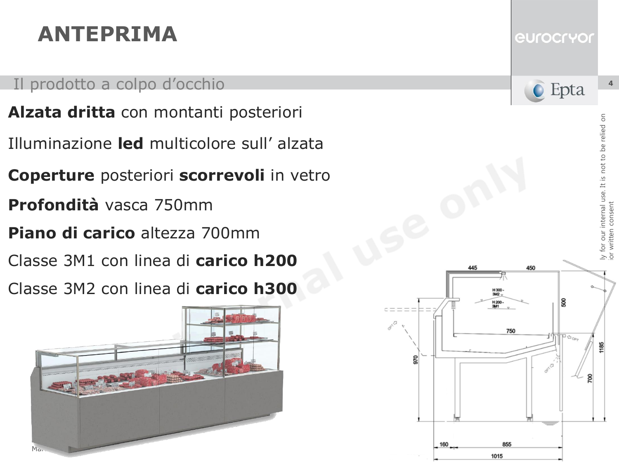#### Il prodotto a colpo d'occhio

- **Alzata dritta** con montanti posteriori
- Illuminazione **led** multicolore sull' alzata
- **Coperture** posteriori **scorrevoli** in vetro
- **Profondità** vasca 750mm
- **Piano di carico** altezza 700mm
- Classe 3M1 con linea di **carico h200**
- Classe 3M2 con linea di **carico h300**





5

not to be relied



445

855

1015

160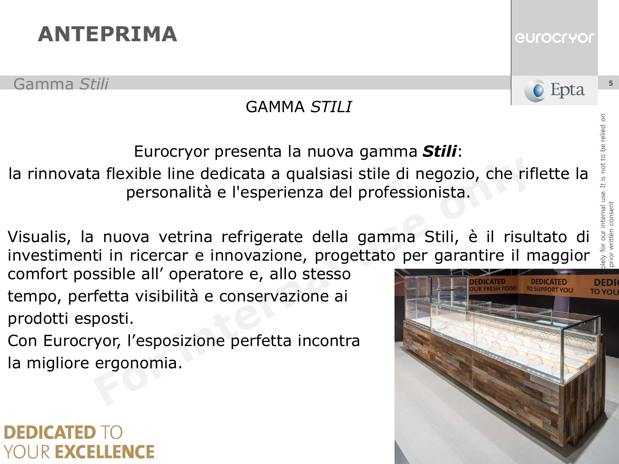Gamma *Stili*

## GAMMA *STILI*

Eurocryor presenta la nuova gamma *Stili*: la rinnovata flexible line dedicata a qualsiasi stile di negozio, che riflette la personalità e l'esperienza del professionista.

Visualis, la nuova vetrina refrigerate della gamma Stili, è il risultato di investimenti in ricercar e innovazione, progettato per garantire il maggior

comfort possible all' operatore e, allo stesso tempo, perfetta visibilità e conservazione ai prodotti esposti.

Con Eurocryor, l'esposizione perfetta incontra la migliore ergonomia.

## DEDICATED UR EXCELLENCE



*<u>eurocryor</u>* 

**C** Epta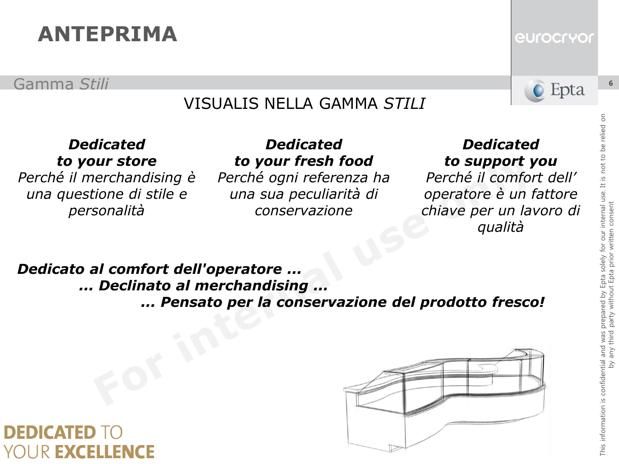Gamma *Stili*

### VISUALIS NELLA GAMMA *STILI*

#### *Dedicated to your store*

*Perché il merchandising è una questione di stile e personalità*

#### *Dedicated to your fresh food*

*Perché ogni referenza ha una sua peculiarità di conservazione*

#### *Dedicated to support you*

*Perché il comfort dell' operatore è un fattore chiave per un lavoro di qualità*

#### *Dedicato al comfort dell'operatore ... ... Declinato al merchandising ... ... Pensato per la conservazione del prodotto fresco!*

### **DEDICATED** IR **Excellence**

**C** Epta

eurocryor